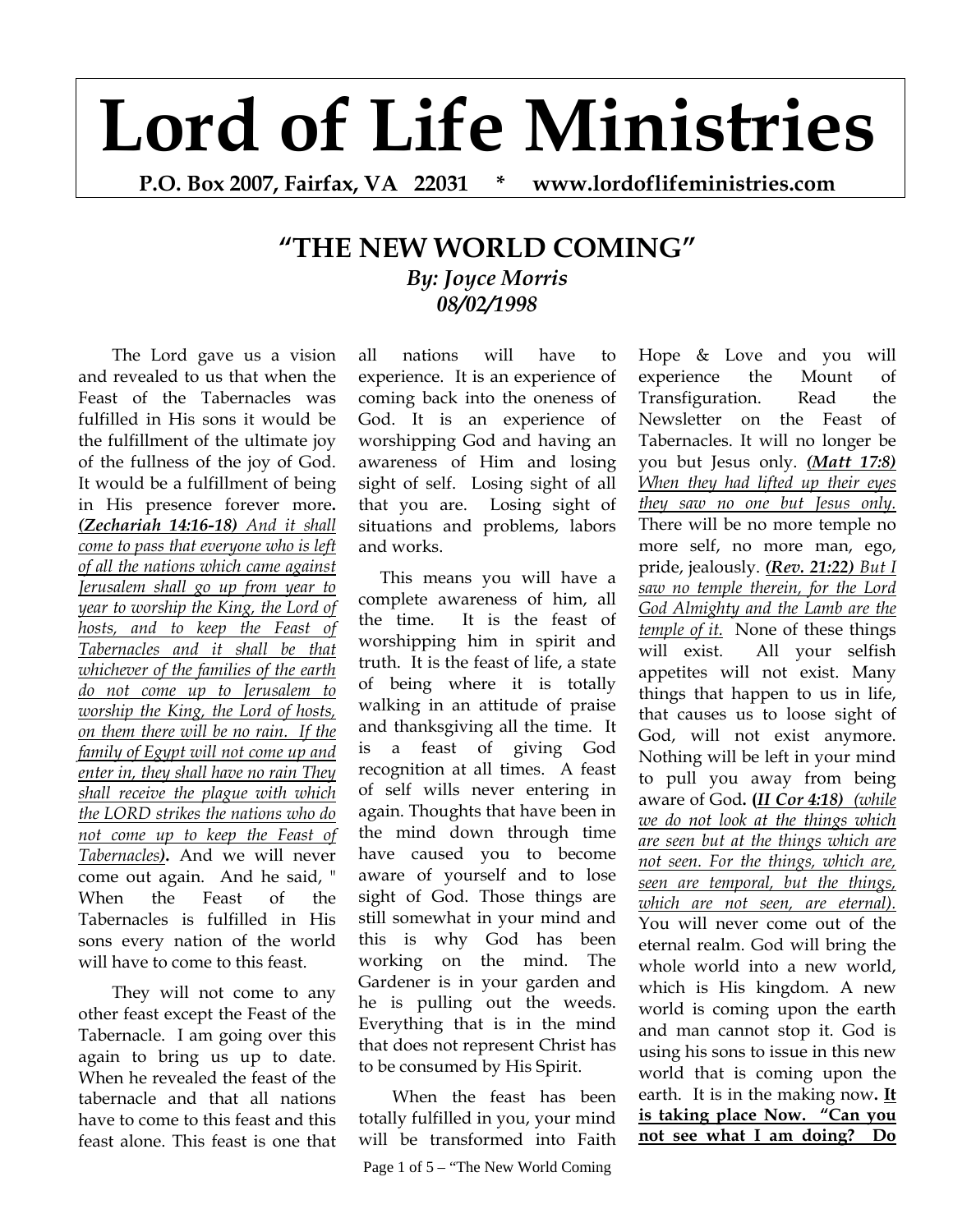## **Lord of Life Ministries**

**P.O. Box 2007, Fairfax, VA 22031 \* www.lordoflifeministries.com** 

## **"THE NEW WORLD COMING"** *By: Joyce Morris 08/02/1998*

 The Lord gave us a vision and revealed to us that when the Feast of the Tabernacles was fulfilled in His sons it would be the fulfillment of the ultimate joy of the fullness of the joy of God. It would be a fulfillment of being in His presence forever more**.**  *(Zechariah 14:16-18) And it shall come to pass that everyone who is left of all the nations which came against Jerusalem shall go up from year to year to worship the King, the Lord of hosts, and to keep the Feast of Tabernacles and it shall be that whichever of the families of the earth do not come up to Jerusalem to worship the King, the Lord of hosts, on them there will be no rain. If the family of Egypt will not come up and enter in, they shall have no rain They shall receive the plague with which the LORD strikes the nations who do not come up to keep the Feast of Tabernacles)***.** And we will never come out again. And he said, " When the Feast of the Tabernacles is fulfilled in His sons every nation of the world will have to come to this feast.

 They will not come to any other feast except the Feast of the Tabernacle. I am going over this again to bring us up to date. When he revealed the feast of the tabernacle and that all nations have to come to this feast and this feast alone. This feast is one that

all nations will have to experience. It is an experience of coming back into the oneness of God. It is an experience of worshipping God and having an awareness of Him and losing sight of self. Losing sight of all that you are. Losing sight of situations and problems, labors and works.

 This means you will have a complete awareness of him, all the time. It is the feast of worshipping him in spirit and truth. It is the feast of life, a state of being where it is totally walking in an attitude of praise and thanksgiving all the time. It is a feast of giving God recognition at all times. A feast of self wills never entering in again. Thoughts that have been in the mind down through time have caused you to become aware of yourself and to lose sight of God. Those things are still somewhat in your mind and this is why God has been working on the mind. The Gardener is in your garden and he is pulling out the weeds. Everything that is in the mind that does not represent Christ has to be consumed by His Spirit.

 When the feast has been totally fulfilled in you, your mind will be transformed into Faith

Page 1 of 5 – "The New World Coming

Hope & Love and you will experience the Mount of Transfiguration. Read the Newsletter on the Feast of Tabernacles. It will no longer be you but Jesus only. *(Matt 17:8) When they had lifted up their eyes they saw no one but Jesus only.* There will be no more temple no more self, no more man, ego, pride, jealously. *(Rev. 21:22) But I saw no temple therein, for the Lord God Almighty and the Lamb are the temple of it.* None of these things will exist. All your selfish appetites will not exist. Many things that happen to us in life, that causes us to loose sight of God, will not exist anymore. Nothing will be left in your mind to pull you away from being aware of God**. (***II Cor 4:18) (while we do not look at the things which are seen but at the things which are not seen. For the things, which are, seen are temporal, but the things, which are not seen, are eternal).* You will never come out of the eternal realm. God will bring the whole world into a new world, which is His kingdom. A new world is coming upon the earth and man cannot stop it. God is using his sons to issue in this new world that is coming upon the earth. It is in the making now**. It is taking place Now. "Can you not see what I am doing? Do**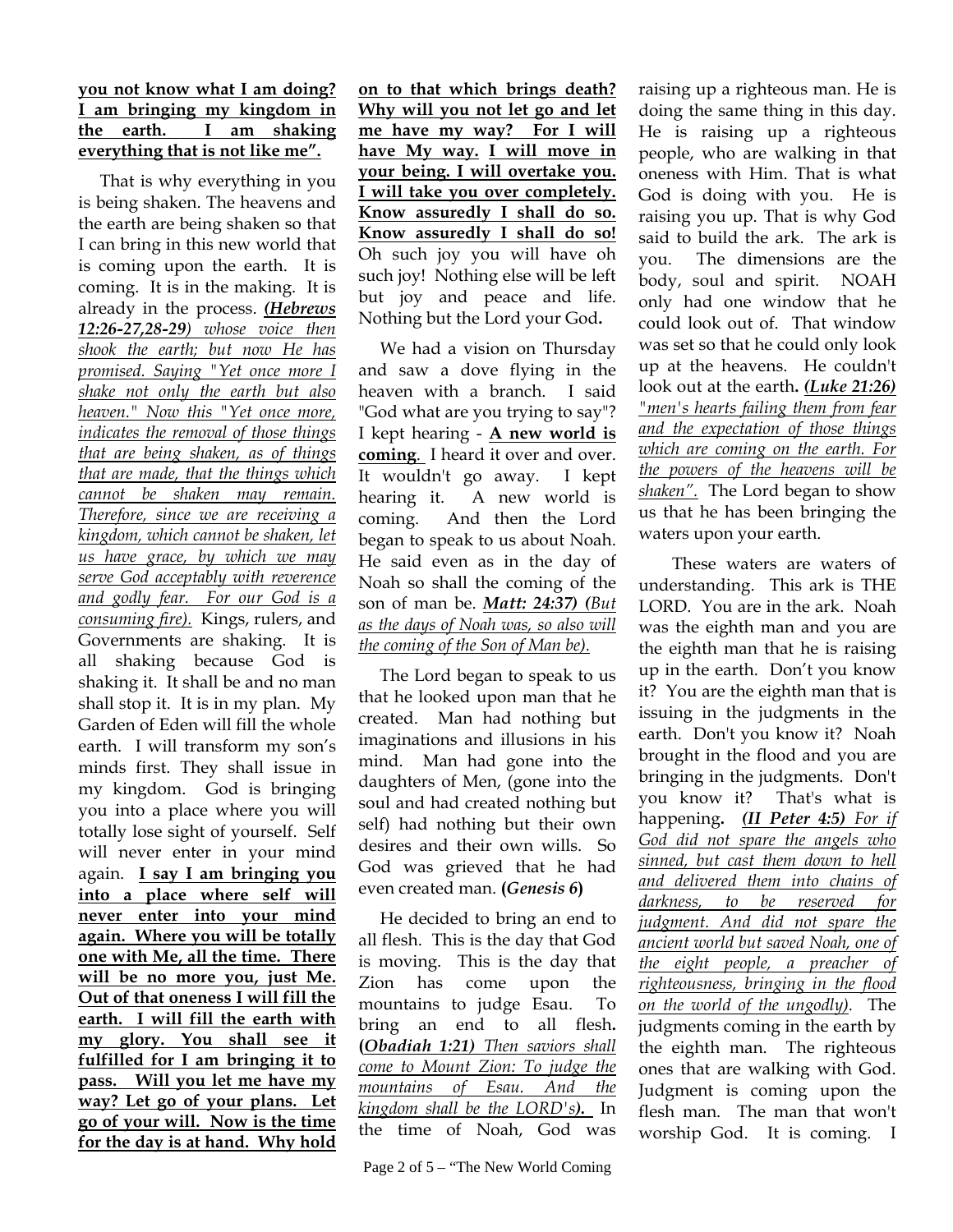## **you not know what I am doing? I am bringing my kingdom in the earth. I am shaking everything that is not like me".**

 That is why everything in you is being shaken. The heavens and the earth are being shaken so that I can bring in this new world that is coming upon the earth. It is coming. It is in the making. It is already in the process. *(Hebrews 12:26-27,28-29) whose voice then shook the earth; but now He has promised. Saying "Yet once more I shake not only the earth but also heaven." Now this "Yet once more, indicates the removal of those things that are being shaken, as of things that are made, that the things which cannot be shaken may remain. Therefore, since we are receiving a kingdom, which cannot be shaken, let us have grace, by which we may serve God acceptably with reverence and godly fear. For our God is a consuming fire).*Kings, rulers, and Governments are shaking. It is all shaking because God is shaking it. It shall be and no man shall stop it. It is in my plan. My Garden of Eden will fill the whole earth. I will transform my son's minds first. They shall issue in my kingdom. God is bringing you into a place where you will totally lose sight of yourself. Self will never enter in your mind again. **I say I am bringing you into a place where self will never enter into your mind again. Where you will be totally one with Me, all the time. There will be no more you, just Me. Out of that oneness I will fill the earth. I will fill the earth with my glory. You shall see it fulfilled for I am bringing it to pass. Will you let me have my way? Let go of your plans. Let go of your will. Now is the time for the day is at hand. Why hold** 

**on to that which brings death? Why will you not let go and let me have my way? For I will have My way. I will move in your being. I will overtake you. I will take you over completely. Know assuredly I shall do so. Know assuredly I shall do so!**  Oh such joy you will have oh such joy! Nothing else will be left but joy and peace and life. Nothing but the Lord your God**.** 

 We had a vision on Thursday and saw a dove flying in the heaven with a branch. I said "God what are you trying to say"? I kept hearing - **A new world is coming**. I heard it over and over. It wouldn't go away. I kept hearing it. A new world is coming. And then the Lord began to speak to us about Noah. He said even as in the day of Noah so shall the coming of the son of man be. *Matt: 24:37) (But as the days of Noah was, so also will the coming of the Son of Man be).*

 The Lord began to speak to us that he looked upon man that he created. Man had nothing but imaginations and illusions in his mind. Man had gone into the daughters of Men, (gone into the soul and had created nothing but self) had nothing but their own desires and their own wills. So God was grieved that he had even created man. **(***Genesis 6***)** 

He decided to bring an end to all flesh. This is the day that God is moving. This is the day that Zion has come upon the mountains to judge Esau. To bring an end to all flesh**. (***Obadiah 1:21) Then saviors shall come to Mount Zion: To judge the mountains of Esau. And the kingdom shall be the LORD's).* In the time of Noah, God was

raising up a righteous man. He is doing the same thing in this day. He is raising up a righteous people, who are walking in that oneness with Him. That is what God is doing with you. He is raising you up. That is why God said to build the ark. The ark is you. The dimensions are the body, soul and spirit. NOAH only had one window that he could look out of. That window was set so that he could only look up at the heavens. He couldn't look out at the earth**.** *(Luke 21:26) "men's hearts failing them from fear and the expectation of those things which are coming on the earth. For the powers of the heavens will be shaken".* The Lord began to show us that he has been bringing the waters upon your earth.

 These waters are waters of understanding. This ark is THE LORD. You are in the ark. Noah was the eighth man and you are the eighth man that he is raising up in the earth. Don't you know it? You are the eighth man that is issuing in the judgments in the earth. Don't you know it? Noah brought in the flood and you are bringing in the judgments. Don't you know it? That's what is happening**.** *(II Peter 4:5) For if God did not spare the angels who sinned, but cast them down to hell and delivered them into chains of darkness, to be reserved for judgment. And did not spare the ancient world but saved Noah, one of the eight people, a preacher of righteousness, bringing in the flood on the world of the ungodly).* The judgments coming in the earth by the eighth man. The righteous ones that are walking with God. Judgment is coming upon the flesh man. The man that won't worship God. It is coming. I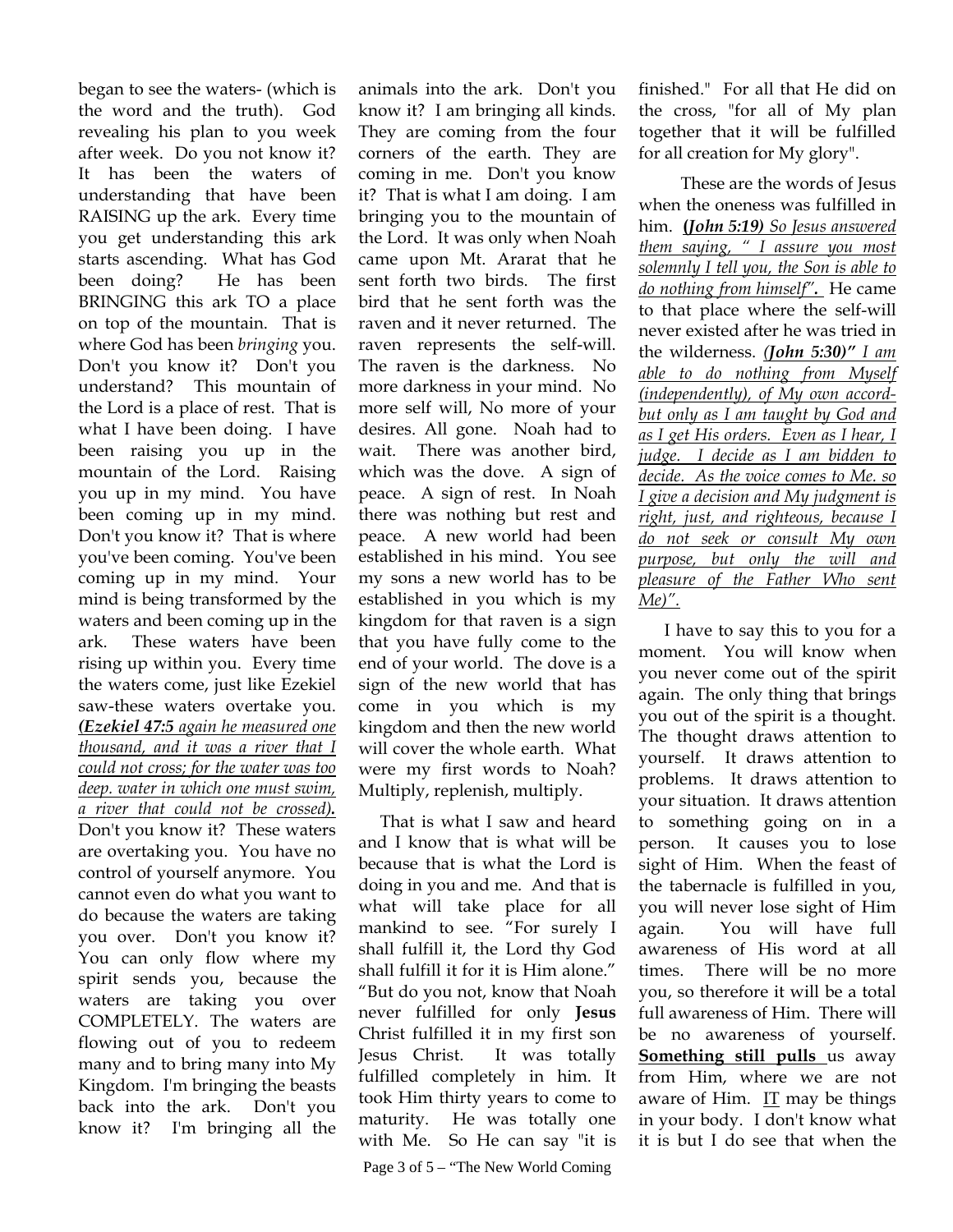began to see the waters- (which is the word and the truth). God revealing his plan to you week after week. Do you not know it? It has been the waters of understanding that have been RAISING up the ark. Every time you get understanding this ark starts ascending. What has God been doing? He has been BRINGING this ark TO a place on top of the mountain. That is where God has been *bringing* you. Don't you know it? Don't you understand? This mountain of the Lord is a place of rest. That is what I have been doing. I have been raising you up in the mountain of the Lord. Raising you up in my mind. You have been coming up in my mind. Don't you know it? That is where you've been coming. You've been coming up in my mind. Your mind is being transformed by the waters and been coming up in the ark. These waters have been rising up within you. Every time the waters come, just like Ezekiel saw-these waters overtake you. *(Ezekiel 47:5 again he measured one thousand, and it was a river that I could not cross; for the water was too deep. water in which one must swim, a river that could not be crossed).* Don't you know it? These waters are overtaking you. You have no control of yourself anymore. You cannot even do what you want to do because the waters are taking you over. Don't you know it? You can only flow where my spirit sends you, because the waters are taking you over COMPLETELY. The waters are flowing out of you to redeem many and to bring many into My Kingdom. I'm bringing the beasts back into the ark. Don't you know it? I'm bringing all the

animals into the ark. Don't you know it? I am bringing all kinds. They are coming from the four corners of the earth. They are coming in me. Don't you know it? That is what I am doing. I am bringing you to the mountain of the Lord. It was only when Noah came upon Mt. Ararat that he sent forth two birds. The first bird that he sent forth was the raven and it never returned. The raven represents the self-will. The raven is the darkness. No more darkness in your mind. No more self will, No more of your desires. All gone. Noah had to wait. There was another bird, which was the dove. A sign of peace. A sign of rest. In Noah there was nothing but rest and peace. A new world had been established in his mind. You see my sons a new world has to be established in you which is my kingdom for that raven is a sign that you have fully come to the end of your world. The dove is a sign of the new world that has come in you which is my kingdom and then the new world will cover the whole earth. What were my first words to Noah? Multiply, replenish, multiply.

 That is what I saw and heard and I know that is what will be because that is what the Lord is doing in you and me. And that is what will take place for all mankind to see. "For surely I shall fulfill it, the Lord thy God shall fulfill it for it is Him alone." "But do you not, know that Noah never fulfilled for only **Jesus**  Christ fulfilled it in my first son Jesus Christ. It was totally fulfilled completely in him. It took Him thirty years to come to maturity. He was totally one with Me. So He can say "it is

Page 3 of 5 – "The New World Coming

finished." For all that He did on the cross, "for all of My plan together that it will be fulfilled for all creation for My glory".

 These are the words of Jesus when the oneness was fulfilled in him. **(***John 5:19) So Jesus answered them saying, " I assure you most solemnly I tell you, the Son is able to do nothing from himself".* He came to that place where the self-will never existed after he was tried in the wilderness. *(John 5:30)" I am able to do nothing from Myself (independently), of My own accordbut only as I am taught by God and as I get His orders. Even as I hear, I judge. I decide as I am bidden to decide. As the voice comes to Me. so I give a decision and My judgment is right, just, and righteous, because I do not seek or consult My own purpose, but only the will and pleasure of the Father Who sent Me)".* 

I have to say this to you for a moment. You will know when you never come out of the spirit again. The only thing that brings you out of the spirit is a thought. The thought draws attention to yourself. It draws attention to problems. It draws attention to your situation. It draws attention to something going on in a person. It causes you to lose sight of Him. When the feast of the tabernacle is fulfilled in you, you will never lose sight of Him again. You will have full awareness of His word at all times. There will be no more you, so therefore it will be a total full awareness of Him. There will be no awareness of yourself. **Something still pulls** us away from Him, where we are not aware of Him. IT may be things in your body. I don't know what it is but I do see that when the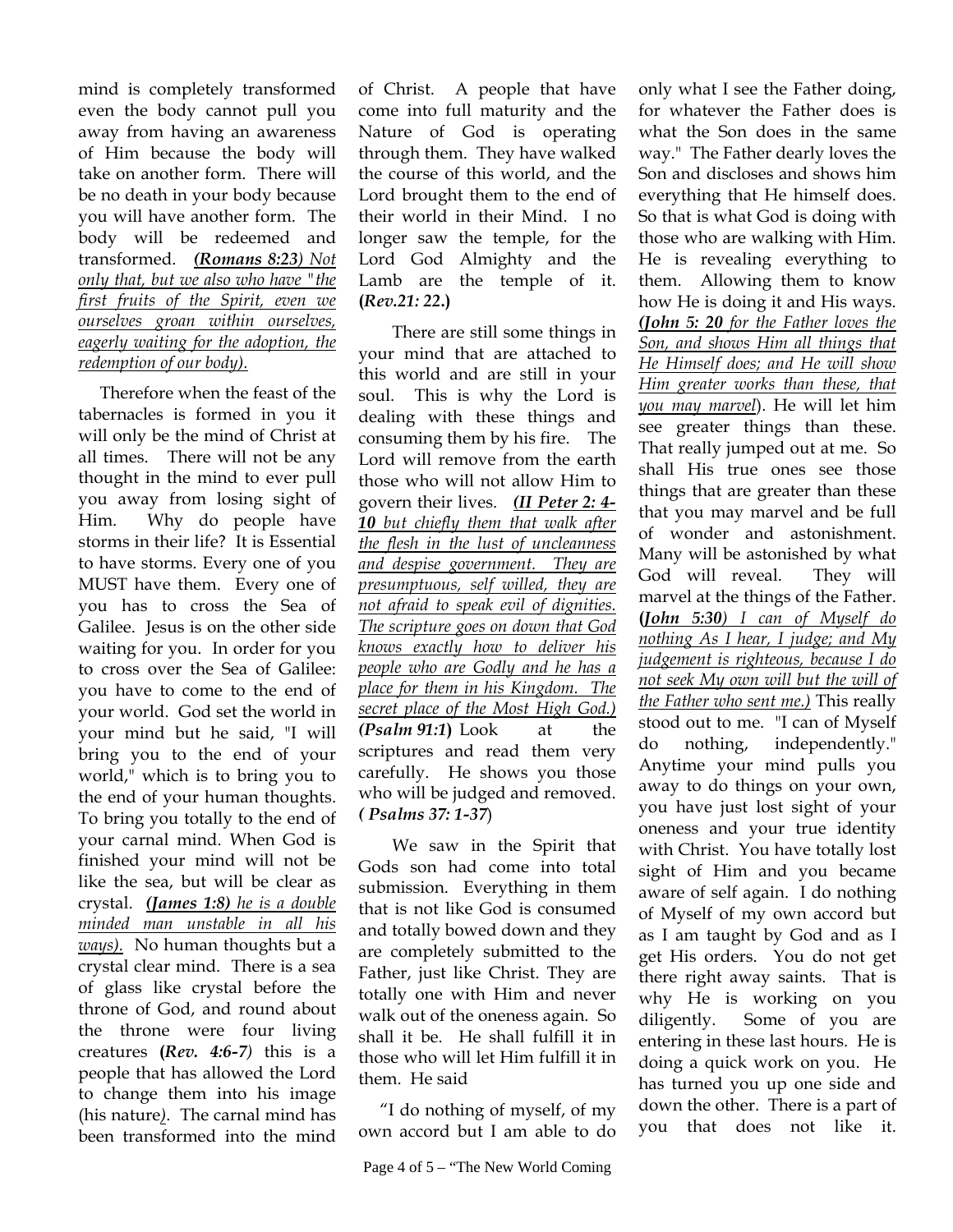mind is completely transformed even the body cannot pull you away from having an awareness of Him because the body will take on another form. There will be no death in your body because you will have another form. The body will be redeemed and transformed. *(Romans 8:23) Not only that, but we also who have "the first fruits of the Spirit, even we ourselves groan within ourselves, eagerly waiting for the adoption, the redemption of our body).* 

Therefore when the feast of the tabernacles is formed in you it will only be the mind of Christ at all times. There will not be any thought in the mind to ever pull you away from losing sight of Him. Why do people have storms in their life? It is Essential to have storms. Every one of you MUST have them. Every one of you has to cross the Sea of Galilee. Jesus is on the other side waiting for you. In order for you to cross over the Sea of Galilee: you have to come to the end of your world. God set the world in your mind but he said, "I will bring you to the end of your world," which is to bring you to the end of your human thoughts. To bring you totally to the end of your carnal mind. When God is finished your mind will not be like the sea, but will be clear as crystal. *(James 1:8) he is a double minded man unstable in all his ways).* No human thoughts but a crystal clear mind. There is a sea of glass like crystal before the throne of God, and round about the throne were four living creatures **(***Rev. 4:6-7)* this is a people that has allowed the Lord to change them into his image (his nature*)*. The carnal mind has been transformed into the mind

of Christ. A people that have come into full maturity and the Nature of God is operating through them. They have walked the course of this world, and the Lord brought them to the end of their world in their Mind. I no longer saw the temple, for the Lord God Almighty and the Lamb are the temple of it. **(***Rev.21: 22***.)**

 There are still some things in your mind that are attached to this world and are still in your soul. This is why the Lord is dealing with these things and consuming them by his fire. The Lord will remove from the earth those who will not allow Him to govern their lives. *(II Peter 2: 4- 10 but chiefly them that walk after the flesh in the lust of uncleanness and despise government. They are presumptuous, self willed, they are not afraid to speak evil of dignities. The scripture goes on down that God knows exactly how to deliver his people who are Godly and he has a place for them in his Kingdom. The secret place of the Most High God.) (Psalm 91:1***)** Look at the scriptures and read them very carefully. He shows you those who will be judged and removed. *( Psalms 37: 1-37*)

 We saw in the Spirit that Gods son had come into total submission. Everything in them that is not like God is consumed and totally bowed down and they are completely submitted to the Father, just like Christ. They are totally one with Him and never walk out of the oneness again. So shall it be. He shall fulfill it in those who will let Him fulfill it in them. He said

 "I do nothing of myself, of my own accord but I am able to do only what I see the Father doing, for whatever the Father does is what the Son does in the same way." The Father dearly loves the Son and discloses and shows him everything that He himself does. So that is what God is doing with those who are walking with Him. He is revealing everything to them. Allowing them to know how He is doing it and His ways. *(John 5: 20 for the Father loves the Son, and shows Him all things that He Himself does; and He will show Him greater works than these, that you may marvel*). He will let him see greater things than these. That really jumped out at me. So shall His true ones see those things that are greater than these that you may marvel and be full of wonder and astonishment. Many will be astonished by what God will reveal. They will marvel at the things of the Father. **(***John 5:30) I can of Myself do nothing As I hear, I judge; and My judgement is righteous, because I do not seek My own will but the will of the Father who sent me.)* This really stood out to me. "I can of Myself do nothing, independently." Anytime your mind pulls you away to do things on your own, you have just lost sight of your oneness and your true identity with Christ. You have totally lost sight of Him and you became aware of self again. I do nothing of Myself of my own accord but as I am taught by God and as I get His orders. You do not get there right away saints. That is why He is working on you diligently. Some of you are entering in these last hours. He is doing a quick work on you. He has turned you up one side and down the other. There is a part of you that does not like it.